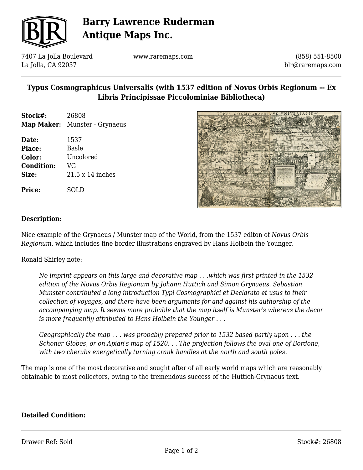

# **Barry Lawrence Ruderman Antique Maps Inc.**

7407 La Jolla Boulevard La Jolla, CA 92037

www.raremaps.com

(858) 551-8500 blr@raremaps.com

## **Typus Cosmographicus Universalis (with 1537 edition of Novus Orbis Regionum -- Ex Libris Principissae Piccolominiae Bibliotheca)**

| Stock#: | 26808                                |
|---------|--------------------------------------|
|         | <b>Map Maker:</b> Munster - Grynaeus |

**Date:** 1537 **Place:** Basle **Color:** Uncolored **Condition:** VG **Size:** 21.5 x 14 inches

**Price:** SOLD



### **Description:**

Nice example of the Grynaeus / Munster map of the World, from the 1537 editon of *Novus Orbis Regionum*, which includes fine border illustrations engraved by Hans Holbein the Younger.

Ronald Shirley note:

*No imprint appears on this large and decorative map . . .which was first printed in the 1532 edition of the Novus Orbis Regionum by Johann Huttich and Simon Grynaeus. Sebastian Munster contributed a long introduction Typi Cosmographici et Declarato et usus to their collection of voyages, and there have been arguments for and against his authorship of the accompanying map. It seems more probable that the map itself is Munster's whereas the decor is more frequently attributed to Hans Holbein the Younger . . .*

*Geographically the map . . . was probably prepared prior to 1532 based partly upon . . . the Schoner Globes, or on Apian's map of 1520. . . The projection follows the oval one of Bordone, with two cherubs energetically turning crank handles at the north and south poles.*

The map is one of the most decorative and sought after of all early world maps which are reasonably obtainable to most collectors, owing to the tremendous success of the Huttich-Grynaeus text.

#### **Detailed Condition:**